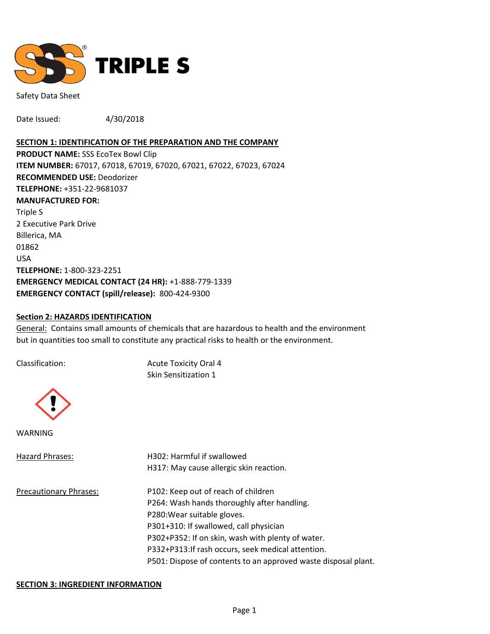

Safety Data Sheet

Date Issued: 4/30/2018

#### **SECTION 1: IDENTIFICATION OF THE PREPARATION AND THE COMPANY**

**PRODUCT NAME:** SSS EcoTex Bowl Clip **ITEM NUMBER:** 67017, 67018, 67019, 67020, 67021, 67022, 67023, 67024 **RECOMMENDED USE:** Deodorizer **TELEPHONE:** +351-22-9681037 **MANUFACTURED FOR:**  Triple S 2 Executive Park Drive Billerica, MA 01862 USA **TELEPHONE:** 1-800-323-2251 **EMERGENCY MEDICAL CONTACT (24 HR):** +1-888-779-1339 **EMERGENCY CONTACT (spill/release):** 800-424-9300

#### **Section 2: HAZARDS IDENTIFICATION**

General: Contains small amounts of chemicals that are hazardous to health and the environment but in quantities too small to constitute any practical risks to health or the environment.

Classification: Acute Toxicity Oral 4 Skin Sensitization 1



WARNING

| Hazard Phrases:               | H302: Harmful if swallowed                                     |  |
|-------------------------------|----------------------------------------------------------------|--|
|                               | H317: May cause allergic skin reaction.                        |  |
| <b>Precautionary Phrases:</b> | P102: Keep out of reach of children                            |  |
|                               | P264: Wash hands thoroughly after handling.                    |  |
|                               | P280: Wear suitable gloves.                                    |  |
|                               | P301+310: If swallowed, call physician                         |  |
|                               | P302+P352: If on skin, wash with plenty of water.              |  |
|                               | P332+P313: If rash occurs, seek medical attention.             |  |
|                               | P501: Dispose of contents to an approved waste disposal plant. |  |

#### **SECTION 3: INGREDIENT INFORMATION**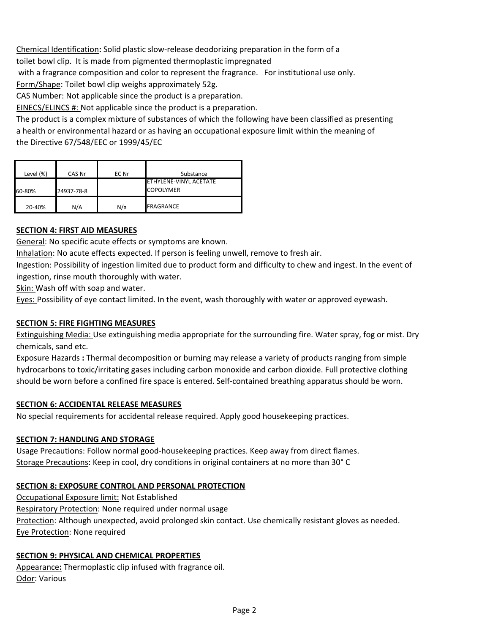Chemical Identification**:** Solid plastic slow-release deodorizing preparation in the form of a

toilet bowl clip. It is made from pigmented thermoplastic impregnated

with a fragrance composition and color to represent the fragrance. For institutional use only.

Form/Shape: Toilet bowl clip weighs approximately 52g.

CAS Number: Not applicable since the product is a preparation.

EINECS/ELINCS #: Not applicable since the product is a preparation.

The product is a complex mixture of substances of which the following have been classified as presenting a health or environmental hazard or as having an occupational exposure limit within the meaning of the Directive 67/548/EEC or 1999/45/EC

| Level (%) | CAS Nr     | EC Nr | Substance                                  |
|-----------|------------|-------|--------------------------------------------|
| 60-80%    | 24937-78-8 |       | ETHYLENE-VINYL ACETATE<br><b>COPOLYMER</b> |
| 20-40%    | N/A        | N/a   | FRAGRANCE                                  |

### **SECTION 4: FIRST AID MEASURES**

General: No specific acute effects or symptoms are known.

Inhalation: No acute effects expected. If person is feeling unwell, remove to fresh air.

Ingestion: Possibility of ingestion limited due to product form and difficulty to chew and ingest. In the event of ingestion, rinse mouth thoroughly with water.

Skin: Wash off with soap and water.

Eyes: Possibility of eye contact limited. In the event, wash thoroughly with water or approved eyewash.

### **SECTION 5: FIRE FIGHTING MEASURES**

Extinguishing Media: Use extinguishing media appropriate for the surrounding fire. Water spray, fog or mist. Dry chemicals, sand etc.

Exposure Hazards **:** Thermal decomposition or burning may release a variety of products ranging from simple hydrocarbons to toxic/irritating gases including carbon monoxide and carbon dioxide. Full protective clothing should be worn before a confined fire space is entered. Self-contained breathing apparatus should be worn.

### **SECTION 6: ACCIDENTAL RELEASE MEASURES**

No special requirements for accidental release required. Apply good housekeeping practices.

### **SECTION 7: HANDLING AND STORAGE**

Usage Precautions: Follow normal good-housekeeping practices. Keep away from direct flames. Storage Precautions: Keep in cool, dry conditions in original containers at no more than 30° C

# **SECTION 8: EXPOSURE CONTROL AND PERSONAL PROTECTION**

Occupational Exposure limit: Not Established Respiratory Protection: None required under normal usage Protection: Although unexpected, avoid prolonged skin contact. Use chemically resistant gloves as needed. Eye Protection: None required

# **SECTION 9: PHYSICAL AND CHEMICAL PROPERTIES**

Appearance**:** Thermoplastic clip infused with fragrance oil. Odor: Various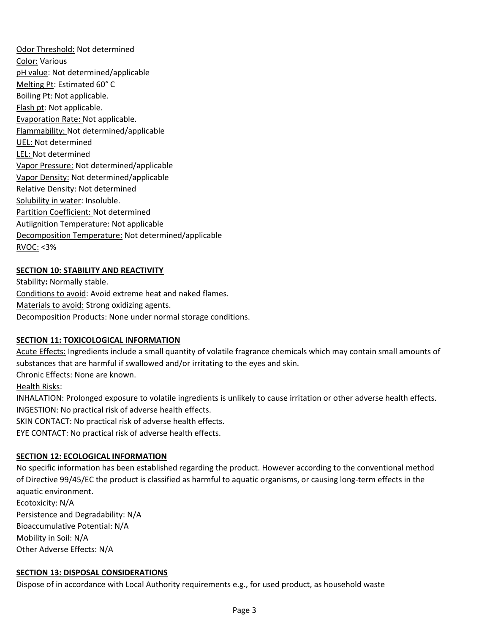Odor Threshold: Not determined Color: Various pH value: Not determined/applicable Melting Pt: Estimated 60° C Boiling Pt: Not applicable. Flash pt: Not applicable. Evaporation Rate: Not applicable. Flammability: Not determined/applicable UEL: Not determined LEL: Not determined Vapor Pressure: Not determined/applicable Vapor Density: Not determined/applicable Relative Density: Not determined Solubility in water: Insoluble. Partition Coefficient: Not determined Autiignition Temperature: Not applicable Decomposition Temperature: Not determined/applicable RVOC: <3%

# **SECTION 10: STABILITY AND REACTIVITY**

Stability**:** Normally stable. Conditions to avoid: Avoid extreme heat and naked flames. Materials to avoid: Strong oxidizing agents. Decomposition Products: None under normal storage conditions.

# **SECTION 11: TOXICOLOGICAL INFORMATION**

Acute Effects: Ingredients include a small quantity of volatile fragrance chemicals which may contain small amounts of substances that are harmful if swallowed and/or irritating to the eyes and skin.

Chronic Effects: None are known.

Health Risks:

INHALATION: Prolonged exposure to volatile ingredients is unlikely to cause irritation or other adverse health effects. INGESTION: No practical risk of adverse health effects.

SKIN CONTACT: No practical risk of adverse health effects.

EYE CONTACT: No practical risk of adverse health effects.

# **SECTION 12: ECOLOGICAL INFORMATION**

No specific information has been established regarding the product. However according to the conventional method of Directive 99/45/EC the product is classified as harmful to aquatic organisms, or causing long-term effects in the aquatic environment.

Ecotoxicity: N/A Persistence and Degradability: N/A Bioaccumulative Potential: N/A Mobility in Soil: N/A Other Adverse Effects: N/A

### **SECTION 13: DISPOSAL CONSIDERATIONS**

Dispose of in accordance with Local Authority requirements e.g., for used product, as household waste